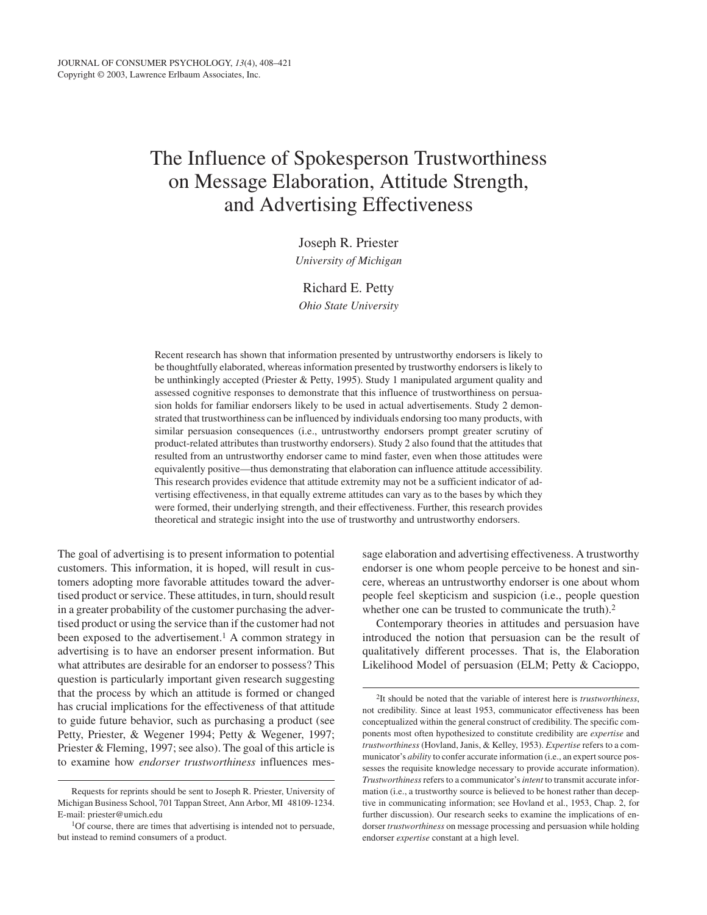# The Influence of Spokesperson Trustworthiness on Message Elaboration, Attitude Strength, and Advertising Effectiveness

Joseph R. Priester

*University of Michigan*

# Richard E. Petty

*Ohio State University*

Recent research has shown that information presented by untrustworthy endorsers is likely to be thoughtfully elaborated, whereas information presented by trustworthy endorsers is likely to be unthinkingly accepted (Priester & Petty, 1995). Study 1 manipulated argument quality and assessed cognitive responses to demonstrate that this influence of trustworthiness on persuasion holds for familiar endorsers likely to be used in actual advertisements. Study 2 demonstrated that trustworthiness can be influenced by individuals endorsing too many products, with similar persuasion consequences (i.e., untrustworthy endorsers prompt greater scrutiny of product-related attributes than trustworthy endorsers). Study 2 also found that the attitudes that resulted from an untrustworthy endorser came to mind faster, even when those attitudes were equivalently positive—thus demonstrating that elaboration can influence attitude accessibility. This research provides evidence that attitude extremity may not be a sufficient indicator of advertising effectiveness, in that equally extreme attitudes can vary as to the bases by which they were formed, their underlying strength, and their effectiveness. Further, this research provides theoretical and strategic insight into the use of trustworthy and untrustworthy endorsers.

The goal of advertising is to present information to potential customers. This information, it is hoped, will result in customers adopting more favorable attitudes toward the advertised product or service. These attitudes, in turn, should result in a greater probability of the customer purchasing the advertised product or using the service than if the customer had not been exposed to the advertisement.<sup>1</sup> A common strategy in advertising is to have an endorser present information. But what attributes are desirable for an endorser to possess? This question is particularly important given research suggesting that the process by which an attitude is formed or changed has crucial implications for the effectiveness of that attitude to guide future behavior, such as purchasing a product (see Petty, Priester, & Wegener 1994; Petty & Wegener, 1997; Priester & Fleming, 1997; see also). The goal of this article is to examine how *endorser trustworthiness* influences message elaboration and advertising effectiveness. A trustworthy endorser is one whom people perceive to be honest and sincere, whereas an untrustworthy endorser is one about whom people feel skepticism and suspicion (i.e., people question whether one can be trusted to communicate the truth).<sup>2</sup>

Contemporary theories in attitudes and persuasion have introduced the notion that persuasion can be the result of qualitatively different processes. That is, the Elaboration Likelihood Model of persuasion (ELM; Petty & Cacioppo,

Requests for reprints should be sent to Joseph R. Priester, University of Michigan Business School, 701 Tappan Street, Ann Arbor, MI 48109-1234. E-mail: priester@umich.edu

<sup>&</sup>lt;sup>1</sup>Of course, there are times that advertising is intended not to persuade, but instead to remind consumers of a product.

<sup>2</sup>It should be noted that the variable of interest here is *trustworthiness*, not credibility. Since at least 1953, communicator effectiveness has been conceptualized within the general construct of credibility. The specific components most often hypothesized to constitute credibility are *expertise* and *trustworthiness* (Hovland, Janis, & Kelley, 1953). *Expertise* refers to a communicator's *ability* to confer accurate information (i.e., an expert source possesses the requisite knowledge necessary to provide accurate information). *Trustworthiness*refers to a communicator's*intent* to transmit accurate information (i.e., a trustworthy source is believed to be honest rather than deceptive in communicating information; see Hovland et al., 1953, Chap. 2, for further discussion). Our research seeks to examine the implications of endorser *trustworthiness* on message processing and persuasion while holding endorser *expertise* constant at a high level.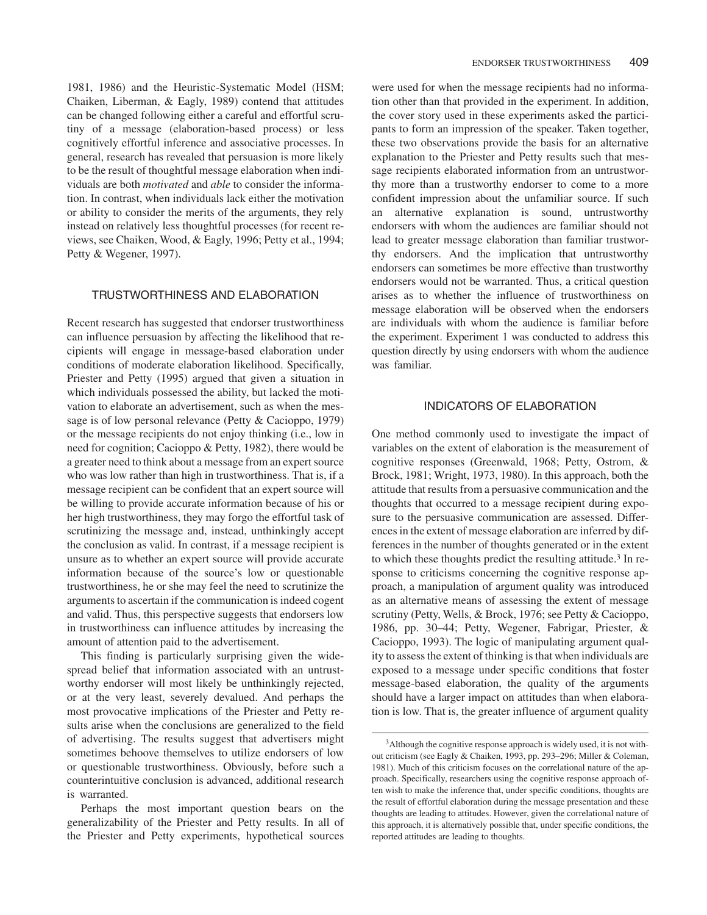1981, 1986) and the Heuristic-Systematic Model (HSM; Chaiken, Liberman, & Eagly, 1989) contend that attitudes can be changed following either a careful and effortful scrutiny of a message (elaboration-based process) or less cognitively effortful inference and associative processes. In general, research has revealed that persuasion is more likely to be the result of thoughtful message elaboration when individuals are both *motivated* and *able* to consider the information. In contrast, when individuals lack either the motivation or ability to consider the merits of the arguments, they rely instead on relatively less thoughtful processes (for recent reviews, see Chaiken, Wood, & Eagly, 1996; Petty et al., 1994; Petty & Wegener, 1997).

## TRUSTWORTHINESS AND ELABORATION

Recent research has suggested that endorser trustworthiness can influence persuasion by affecting the likelihood that recipients will engage in message-based elaboration under conditions of moderate elaboration likelihood. Specifically, Priester and Petty (1995) argued that given a situation in which individuals possessed the ability, but lacked the motivation to elaborate an advertisement, such as when the message is of low personal relevance (Petty & Cacioppo, 1979) or the message recipients do not enjoy thinking (i.e., low in need for cognition; Cacioppo & Petty, 1982), there would be a greater need to think about a message from an expert source who was low rather than high in trustworthiness. That is, if a message recipient can be confident that an expert source will be willing to provide accurate information because of his or her high trustworthiness, they may forgo the effortful task of scrutinizing the message and, instead, unthinkingly accept the conclusion as valid. In contrast, if a message recipient is unsure as to whether an expert source will provide accurate information because of the source's low or questionable trustworthiness, he or she may feel the need to scrutinize the arguments to ascertain if the communication is indeed cogent and valid. Thus, this perspective suggests that endorsers low in trustworthiness can influence attitudes by increasing the amount of attention paid to the advertisement.

This finding is particularly surprising given the widespread belief that information associated with an untrustworthy endorser will most likely be unthinkingly rejected, or at the very least, severely devalued. And perhaps the most provocative implications of the Priester and Petty results arise when the conclusions are generalized to the field of advertising. The results suggest that advertisers might sometimes behoove themselves to utilize endorsers of low or questionable trustworthiness. Obviously, before such a counterintuitive conclusion is advanced, additional research is warranted.

Perhaps the most important question bears on the generalizability of the Priester and Petty results. In all of the Priester and Petty experiments, hypothetical sources

were used for when the message recipients had no information other than that provided in the experiment. In addition, the cover story used in these experiments asked the participants to form an impression of the speaker. Taken together, these two observations provide the basis for an alternative explanation to the Priester and Petty results such that message recipients elaborated information from an untrustworthy more than a trustworthy endorser to come to a more confident impression about the unfamiliar source. If such an alternative explanation is sound, untrustworthy endorsers with whom the audiences are familiar should not lead to greater message elaboration than familiar trustworthy endorsers. And the implication that untrustworthy endorsers can sometimes be more effective than trustworthy endorsers would not be warranted. Thus, a critical question arises as to whether the influence of trustworthiness on message elaboration will be observed when the endorsers are individuals with whom the audience is familiar before the experiment. Experiment 1 was conducted to address this question directly by using endorsers with whom the audience was familiar.

## INDICATORS OF ELABORATION

One method commonly used to investigate the impact of variables on the extent of elaboration is the measurement of cognitive responses (Greenwald, 1968; Petty, Ostrom, & Brock, 1981; Wright, 1973, 1980). In this approach, both the attitude that results from a persuasive communication and the thoughts that occurred to a message recipient during exposure to the persuasive communication are assessed. Differences in the extent of message elaboration are inferred by differences in the number of thoughts generated or in the extent to which these thoughts predict the resulting attitude.3 In response to criticisms concerning the cognitive response approach, a manipulation of argument quality was introduced as an alternative means of assessing the extent of message scrutiny (Petty, Wells, & Brock, 1976; see Petty & Cacioppo, 1986, pp. 30–44; Petty, Wegener, Fabrigar, Priester, & Cacioppo, 1993). The logic of manipulating argument quality to assess the extent of thinking is that when individuals are exposed to a message under specific conditions that foster message-based elaboration, the quality of the arguments should have a larger impact on attitudes than when elaboration is low. That is, the greater influence of argument quality

<sup>3</sup>Although the cognitive response approach is widely used, it is not without criticism (see Eagly & Chaiken, 1993, pp. 293–296; Miller & Coleman, 1981). Much of this criticism focuses on the correlational nature of the approach. Specifically, researchers using the cognitive response approach often wish to make the inference that, under specific conditions, thoughts are the result of effortful elaboration during the message presentation and these thoughts are leading to attitudes. However, given the correlational nature of this approach, it is alternatively possible that, under specific conditions, the reported attitudes are leading to thoughts.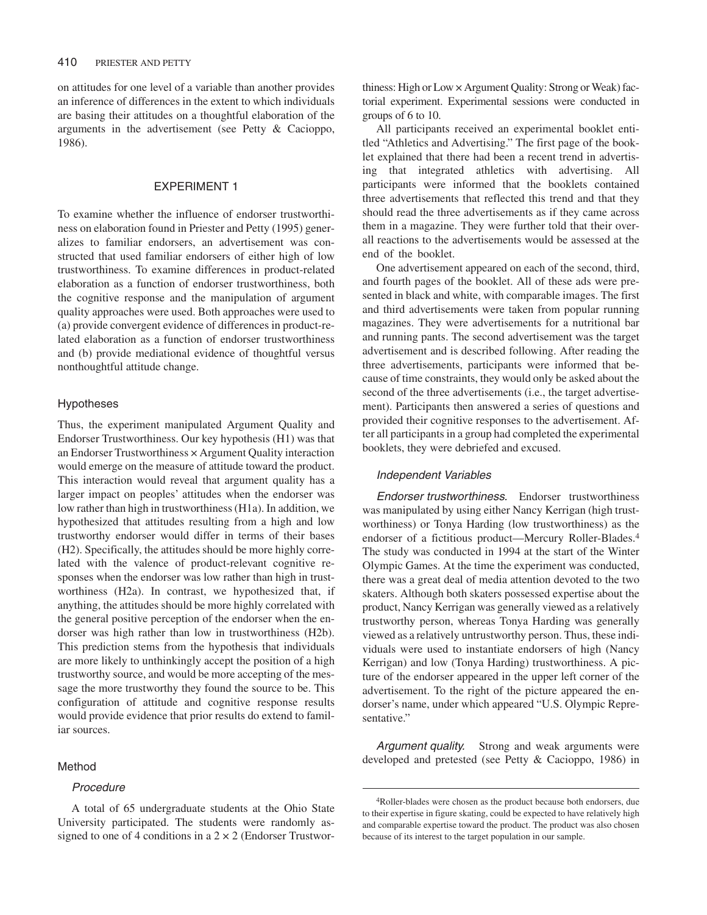on attitudes for one level of a variable than another provides an inference of differences in the extent to which individuals are basing their attitudes on a thoughtful elaboration of the arguments in the advertisement (see Petty & Cacioppo, 1986).

# EXPERIMENT 1

To examine whether the influence of endorser trustworthiness on elaboration found in Priester and Petty (1995) generalizes to familiar endorsers, an advertisement was constructed that used familiar endorsers of either high of low trustworthiness. To examine differences in product-related elaboration as a function of endorser trustworthiness, both the cognitive response and the manipulation of argument quality approaches were used. Both approaches were used to (a) provide convergent evidence of differences in product-related elaboration as a function of endorser trustworthiness and (b) provide mediational evidence of thoughtful versus nonthoughtful attitude change.

## Hypotheses

Thus, the experiment manipulated Argument Quality and Endorser Trustworthiness. Our key hypothesis (H1) was that an Endorser Trustworthiness × Argument Quality interaction would emerge on the measure of attitude toward the product. This interaction would reveal that argument quality has a larger impact on peoples' attitudes when the endorser was low rather than high in trustworthiness (H1a). In addition, we hypothesized that attitudes resulting from a high and low trustworthy endorser would differ in terms of their bases (H2). Specifically, the attitudes should be more highly correlated with the valence of product-relevant cognitive responses when the endorser was low rather than high in trustworthiness (H2a). In contrast, we hypothesized that, if anything, the attitudes should be more highly correlated with the general positive perception of the endorser when the endorser was high rather than low in trustworthiness (H2b). This prediction stems from the hypothesis that individuals are more likely to unthinkingly accept the position of a high trustworthy source, and would be more accepting of the message the more trustworthy they found the source to be. This configuration of attitude and cognitive response results would provide evidence that prior results do extend to familiar sources.

## Method

# Procedure

thiness: High or Low × Argument Quality: Strong or Weak) factorial experiment. Experimental sessions were conducted in groups of 6 to 10.

All participants received an experimental booklet entitled "Athletics and Advertising." The first page of the booklet explained that there had been a recent trend in advertising that integrated athletics with advertising. All participants were informed that the booklets contained three advertisements that reflected this trend and that they should read the three advertisements as if they came across them in a magazine. They were further told that their overall reactions to the advertisements would be assessed at the end of the booklet.

One advertisement appeared on each of the second, third, and fourth pages of the booklet. All of these ads were presented in black and white, with comparable images. The first and third advertisements were taken from popular running magazines. They were advertisements for a nutritional bar and running pants. The second advertisement was the target advertisement and is described following. After reading the three advertisements, participants were informed that because of time constraints, they would only be asked about the second of the three advertisements (i.e., the target advertisement). Participants then answered a series of questions and provided their cognitive responses to the advertisement. After all participants in a group had completed the experimental booklets, they were debriefed and excused.

## Independent Variables

Endorser trustworthiness. Endorser trustworthiness was manipulated by using either Nancy Kerrigan (high trustworthiness) or Tonya Harding (low trustworthiness) as the endorser of a fictitious product—Mercury Roller-Blades.4 The study was conducted in 1994 at the start of the Winter Olympic Games. At the time the experiment was conducted, there was a great deal of media attention devoted to the two skaters. Although both skaters possessed expertise about the product, Nancy Kerrigan was generally viewed as a relatively trustworthy person, whereas Tonya Harding was generally viewed as a relatively untrustworthy person. Thus, these individuals were used to instantiate endorsers of high (Nancy Kerrigan) and low (Tonya Harding) trustworthiness. A picture of the endorser appeared in the upper left corner of the advertisement. To the right of the picture appeared the endorser's name, under which appeared "U.S. Olympic Representative."

Argument quality. Strong and weak arguments were developed and pretested (see Petty & Cacioppo, 1986) in

A total of 65 undergraduate students at the Ohio State University participated. The students were randomly assigned to one of 4 conditions in a  $2 \times 2$  (Endorser Trustwor-

<sup>4</sup>Roller-blades were chosen as the product because both endorsers, due to their expertise in figure skating, could be expected to have relatively high and comparable expertise toward the product. The product was also chosen because of its interest to the target population in our sample.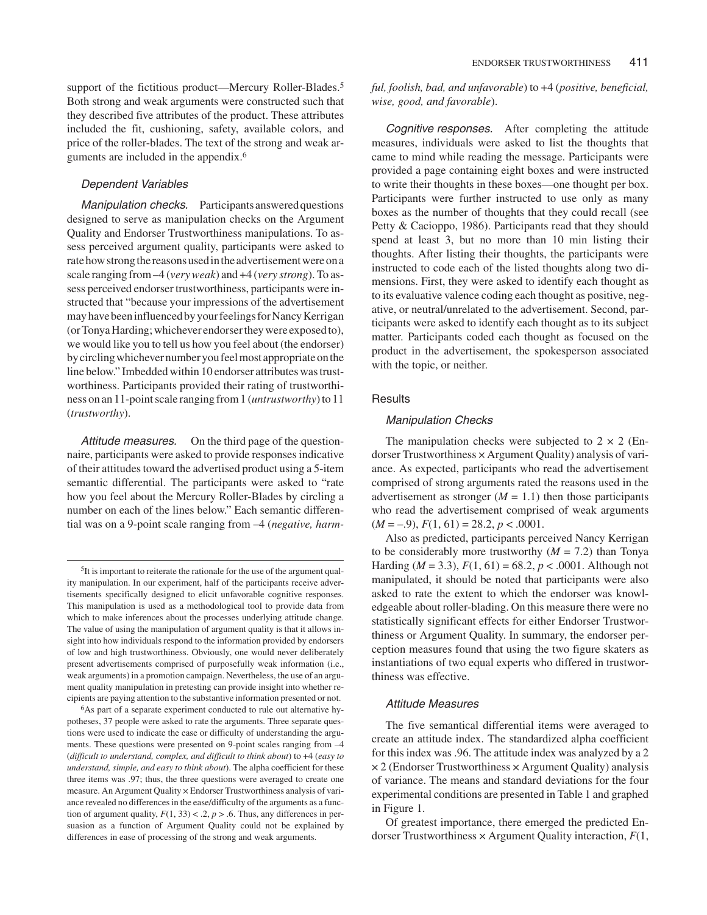support of the fictitious product—Mercury Roller-Blades.<sup>5</sup> Both strong and weak arguments were constructed such that they described five attributes of the product. These attributes included the fit, cushioning, safety, available colors, and price of the roller-blades. The text of the strong and weak arguments are included in the appendix.6

# Dependent Variables

Manipulation checks. Participants answered questions designed to serve as manipulation checks on the Argument Quality and Endorser Trustworthiness manipulations. To assess perceived argument quality, participants were asked to rate how strong the reasons used in the advertisement were on a scale ranging from –4 (*very weak*) and +4 (*very strong*). To assess perceived endorser trustworthiness, participants were instructed that "because your impressions of the advertisement may have been influenced by your feelings for Nancy Kerrigan (or Tonya Harding; whichever endorser they were exposed to), we would like you to tell us how you feel about (the endorser) bycirclingwhichevernumberyoufeelmostappropriateonthe line below." Imbedded within 10 endorser attributes was trustworthiness. Participants provided their rating of trustworthiness on an 11-point scale ranging from 1 (*untrustworthy*) to 11 (*trustworthy*).

Attitude measures. On the third page of the questionnaire, participants were asked to provide responses indicative of their attitudes toward the advertised product using a 5-item semantic differential. The participants were asked to "rate how you feel about the Mercury Roller-Blades by circling a number on each of the lines below." Each semantic differential was on a 9-point scale ranging from –4 (*negative, harm-* *ful, foolish, bad, and unfavorable*) to +4 (*positive, beneficial, wise, good, and favorable*).

Cognitive responses. After completing the attitude measures, individuals were asked to list the thoughts that came to mind while reading the message. Participants were provided a page containing eight boxes and were instructed to write their thoughts in these boxes—one thought per box. Participants were further instructed to use only as many boxes as the number of thoughts that they could recall (see Petty & Cacioppo, 1986). Participants read that they should spend at least 3, but no more than 10 min listing their thoughts. After listing their thoughts, the participants were instructed to code each of the listed thoughts along two dimensions. First, they were asked to identify each thought as to its evaluative valence coding each thought as positive, negative, or neutral/unrelated to the advertisement. Second, participants were asked to identify each thought as to its subject matter. Participants coded each thought as focused on the product in the advertisement, the spokesperson associated with the topic, or neither.

## **Results**

## Manipulation Checks

The manipulation checks were subjected to  $2 \times 2$  (Endorser Trustworthiness × Argument Quality) analysis of variance. As expected, participants who read the advertisement comprised of strong arguments rated the reasons used in the advertisement as stronger  $(M = 1.1)$  then those participants who read the advertisement comprised of weak arguments  $(M = -0.9), F(1, 61) = 28.2, p < .0001.$ 

Also as predicted, participants perceived Nancy Kerrigan to be considerably more trustworthy  $(M = 7.2)$  than Tonya Harding ( $M = 3.3$ ),  $F(1, 61) = 68.2$ ,  $p < .0001$ . Although not manipulated, it should be noted that participants were also asked to rate the extent to which the endorser was knowledgeable about roller-blading. On this measure there were no statistically significant effects for either Endorser Trustworthiness or Argument Quality. In summary, the endorser perception measures found that using the two figure skaters as instantiations of two equal experts who differed in trustworthiness was effective.

#### Attitude Measures

The five semantical differential items were averaged to create an attitude index. The standardized alpha coefficient for this index was .96. The attitude index was analyzed by a 2  $\times$  2 (Endorser Trustworthiness  $\times$  Argument Quality) analysis of variance. The means and standard deviations for the four experimental conditions are presented in Table 1 and graphed in Figure 1.

Of greatest importance, there emerged the predicted Endorser Trustworthiness × Argument Quality interaction, *F*(1,

<sup>5</sup>It is important to reiterate the rationale for the use of the argument quality manipulation. In our experiment, half of the participants receive advertisements specifically designed to elicit unfavorable cognitive responses. This manipulation is used as a methodological tool to provide data from which to make inferences about the processes underlying attitude change. The value of using the manipulation of argument quality is that it allows insight into how individuals respond to the information provided by endorsers of low and high trustworthiness. Obviously, one would never deliberately present advertisements comprised of purposefully weak information (i.e., weak arguments) in a promotion campaign. Nevertheless, the use of an argument quality manipulation in pretesting can provide insight into whether recipients are paying attention to the substantive information presented or not.

<sup>6</sup>As part of a separate experiment conducted to rule out alternative hypotheses, 37 people were asked to rate the arguments. Three separate questions were used to indicate the ease or difficulty of understanding the arguments. These questions were presented on 9-point scales ranging from –4 (*difficult to understand, complex, and difficult to think about*) to +4 (*easy to understand, simple, and easy to think about*). The alpha coefficient for these three items was .97; thus, the three questions were averaged to create one measure. An Argument Quality × Endorser Trustworthiness analysis of variance revealed no differences in the ease/difficulty of the arguments as a function of argument quality,  $F(1, 33) < .2$ ,  $p > .6$ . Thus, any differences in persuasion as a function of Argument Quality could not be explained by differences in ease of processing of the strong and weak arguments.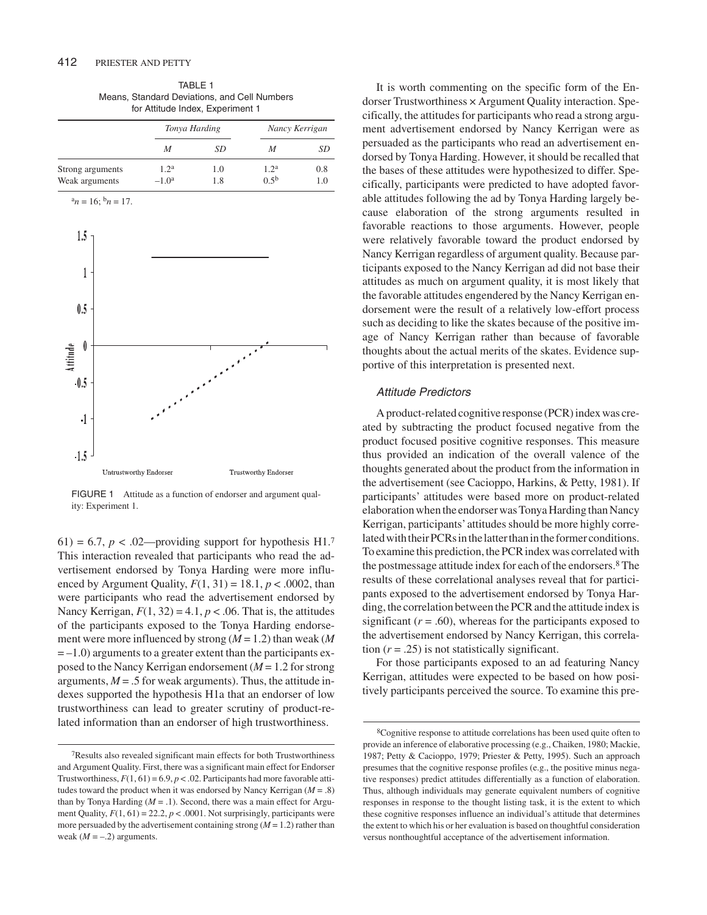| TABLE 1                                      |
|----------------------------------------------|
| Means, Standard Deviations, and Cell Numbers |
| for Attitude Index, Experiment 1             |

|                  | Tonya Harding    |     | Nancy Kerrigan   |     |
|------------------|------------------|-----|------------------|-----|
|                  | M                | SD  | M                | SD  |
| Strong arguments | 1.2 <sup>a</sup> | 1.0 | 1.2 <sup>a</sup> | 0.8 |
| Weak arguments   | $-1.0a$          | 1.8 | $0.5^{b}$        | 1.0 |



FIGURE 1 Attitude as a function of endorser and argument quality: Experiment 1.

61) = 6.7,  $p < 0.02$ —providing support for hypothesis H1.<sup>7</sup> This interaction revealed that participants who read the advertisement endorsed by Tonya Harding were more influenced by Argument Quality,  $F(1, 31) = 18.1$ ,  $p < .0002$ , than were participants who read the advertisement endorsed by Nancy Kerrigan,  $F(1, 32) = 4.1$ ,  $p < .06$ . That is, the attitudes of the participants exposed to the Tonya Harding endorsement were more influenced by strong (*M* = 1.2) than weak (*M*  $= -1.0$ ) arguments to a greater extent than the participants exposed to the Nancy Kerrigan endorsement (*M* = 1.2 for strong arguments,  $M = .5$  for weak arguments). Thus, the attitude indexes supported the hypothesis H1a that an endorser of low trustworthiness can lead to greater scrutiny of product-related information than an endorser of high trustworthiness.

It is worth commenting on the specific form of the Endorser Trustworthiness × Argument Quality interaction. Specifically, the attitudes for participants who read a strong argument advertisement endorsed by Nancy Kerrigan were as persuaded as the participants who read an advertisement endorsed by Tonya Harding. However, it should be recalled that the bases of these attitudes were hypothesized to differ. Specifically, participants were predicted to have adopted favorable attitudes following the ad by Tonya Harding largely because elaboration of the strong arguments resulted in favorable reactions to those arguments. However, people were relatively favorable toward the product endorsed by Nancy Kerrigan regardless of argument quality. Because participants exposed to the Nancy Kerrigan ad did not base their attitudes as much on argument quality, it is most likely that the favorable attitudes engendered by the Nancy Kerrigan endorsement were the result of a relatively low-effort process such as deciding to like the skates because of the positive image of Nancy Kerrigan rather than because of favorable thoughts about the actual merits of the skates. Evidence supportive of this interpretation is presented next.

## Attitude Predictors

A product-related cognitive response (PCR) index was created by subtracting the product focused negative from the product focused positive cognitive responses. This measure thus provided an indication of the overall valence of the thoughts generated about the product from the information in the advertisement (see Cacioppo, Harkins, & Petty, 1981). If participants' attitudes were based more on product-related elaboration when the endorser was Tonya Harding than Nancy Kerrigan, participants'attitudes should be more highly correlated with their PCRs in the latter than in the former conditions. To examine this prediction, the PCR index was correlated with the postmessage attitude index for each of the endorsers.8 The results of these correlational analyses reveal that for participants exposed to the advertisement endorsed by Tonya Harding, the correlation between the PCR and the attitude index is significant  $(r = .60)$ , whereas for the participants exposed to the advertisement endorsed by Nancy Kerrigan, this correlation  $(r = .25)$  is not statistically significant.

For those participants exposed to an ad featuring Nancy Kerrigan, attitudes were expected to be based on how positively participants perceived the source. To examine this pre-

<sup>7</sup>Results also revealed significant main effects for both Trustworthiness and Argument Quality. First, there was a significant main effect for Endorser Trustworthiness,  $F(1, 61) = 6.9, p < .02$ . Participants had more favorable attitudes toward the product when it was endorsed by Nancy Kerrigan (*M* = .8) than by Tonya Harding  $(M = .1)$ . Second, there was a main effect for Argument Quality,  $F(1, 61) = 22.2$ ,  $p < .0001$ . Not surprisingly, participants were more persuaded by the advertisement containing strong  $(M = 1.2)$  rather than weak  $(M = -.2)$  arguments.

<sup>8</sup>Cognitive response to attitude correlations has been used quite often to provide an inference of elaborative processing (e.g., Chaiken, 1980; Mackie, 1987; Petty & Cacioppo, 1979; Priester & Petty, 1995). Such an approach presumes that the cognitive response profiles (e.g., the positive minus negative responses) predict attitudes differentially as a function of elaboration. Thus, although individuals may generate equivalent numbers of cognitive responses in response to the thought listing task, it is the extent to which these cognitive responses influence an individual's attitude that determines the extent to which his or her evaluation is based on thoughtful consideration versus nonthoughtful acceptance of the advertisement information.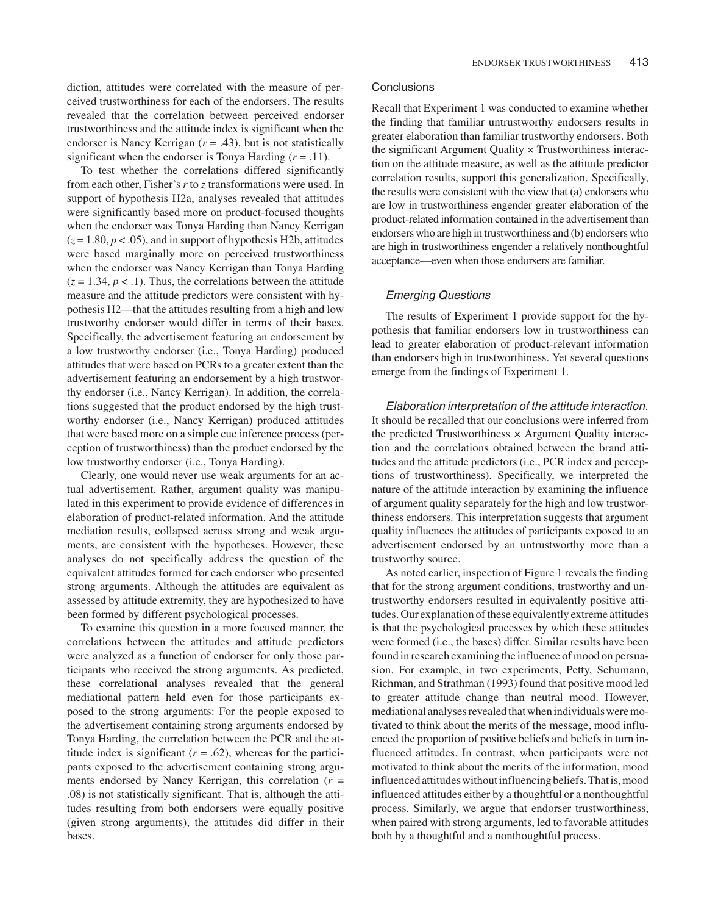diction, attitudes were correlated with the measure of perceived trustworthiness for each of the endorsers. The results revealed that the correlation between perceived endorser trustworthiness and the attitude index is significant when the endorser is Nancy Kerrigan (*r* = .43), but is not statistically significant when the endorser is Tonya Harding  $(r = .11)$ .

To test whether the correlations differed significantly from each other, Fisher's *r* to *z* transformations were used. In support of hypothesis H2a, analyses revealed that attitudes were significantly based more on product-focused thoughts when the endorser was Tonya Harding than Nancy Kerrigan  $(z = 1.80, p < .05)$ , and in support of hypothesis H2b, attitudes were based marginally more on perceived trustworthiness when the endorser was Nancy Kerrigan than Tonya Harding  $(z = 1.34, p < 0.1)$ . Thus, the correlations between the attitude measure and the attitude predictors were consistent with hypothesis H2—that the attitudes resulting from a high and low trustworthy endorser would differ in terms of their bases. Specifically, the advertisement featuring an endorsement by a low trustworthy endorser (i.e., Tonya Harding) produced attitudes that were based on PCRs to a greater extent than the advertisement featuring an endorsement by a high trustworthy endorser (i.e., Nancy Kerrigan). In addition, the correlations suggested that the product endorsed by the high trustworthy endorser (i.e., Nancy Kerrigan) produced attitudes that were based more on a simple cue inference process (perception of trustworthiness) than the product endorsed by the low trustworthy endorser (i.e., Tonya Harding).

Clearly, one would never use weak arguments for an actual advertisement. Rather, argument quality was manipulated in this experiment to provide evidence of differences in elaboration of product-related information. And the attitude mediation results, collapsed across strong and weak arguments, are consistent with the hypotheses. However, these analyses do not specifically address the question of the equivalent attitudes formed for each endorser who presented strong arguments. Although the attitudes are equivalent as assessed by attitude extremity, they are hypothesized to have been formed by different psychological processes.

To examine this question in a more focused manner, the correlations between the attitudes and attitude predictors were analyzed as a function of endorser for only those participants who received the strong arguments. As predicted, these correlational analyses revealed that the general mediational pattern held even for those participants exposed to the strong arguments: For the people exposed to the advertisement containing strong arguments endorsed by Tonya Harding, the correlation between the PCR and the attitude index is significant  $(r = .62)$ , whereas for the participants exposed to the advertisement containing strong arguments endorsed by Nancy Kerrigan, this correlation (*r* = .08) is not statistically significant. That is, although the attitudes resulting from both endorsers were equally positive (given strong arguments), the attitudes did differ in their bases.

## **Conclusions**

Recall that Experiment 1 was conducted to examine whether the finding that familiar untrustworthy endorsers results in greater elaboration than familiar trustworthy endorsers. Both the significant Argument Quality × Trustworthiness interaction on the attitude measure, as well as the attitude predictor correlation results, support this generalization. Specifically, the results were consistent with the view that (a) endorsers who are low in trustworthiness engender greater elaboration of the product-related information contained in the advertisement than endorsers who are high in trustworthiness and (b) endorsers who are high in trustworthiness engender a relatively nonthoughtful acceptance—even when those endorsers are familiar.

## Emerging Questions

The results of Experiment 1 provide support for the hypothesis that familiar endorsers low in trustworthiness can lead to greater elaboration of product-relevant information than endorsers high in trustworthiness. Yet several questions emerge from the findings of Experiment 1.

Elaboration interpretation of the attitude interaction. It should be recalled that our conclusions were inferred from the predicted Trustworthiness  $\times$  Argument Quality interaction and the correlations obtained between the brand attitudes and the attitude predictors (i.e., PCR index and perceptions of trustworthiness). Specifically, we interpreted the nature of the attitude interaction by examining the influence of argument quality separately for the high and low trustworthiness endorsers. This interpretation suggests that argument quality influences the attitudes of participants exposed to an advertisement endorsed by an untrustworthy more than a trustworthy source.

As noted earlier, inspection of Figure 1 reveals the finding that for the strong argument conditions, trustworthy and untrustworthy endorsers resulted in equivalently positive attitudes. Our explanation of these equivalently extreme attitudes is that the psychological processes by which these attitudes were formed (i.e., the bases) differ. Similar results have been found in research examining the influence of mood on persuasion. For example, in two experiments, Petty, Schumann, Richman, and Strathman (1993) found that positive mood led to greater attitude change than neutral mood. However, mediational analyses revealed that when individuals were motivated to think about the merits of the message, mood influenced the proportion of positive beliefs and beliefs in turn influenced attitudes. In contrast, when participants were not motivated to think about the merits of the information, mood influenced attitudes without influencing beliefs. That is, mood influenced attitudes either by a thoughtful or a nonthoughtful process. Similarly, we argue that endorser trustworthiness, when paired with strong arguments, led to favorable attitudes both by a thoughtful and a nonthoughtful process.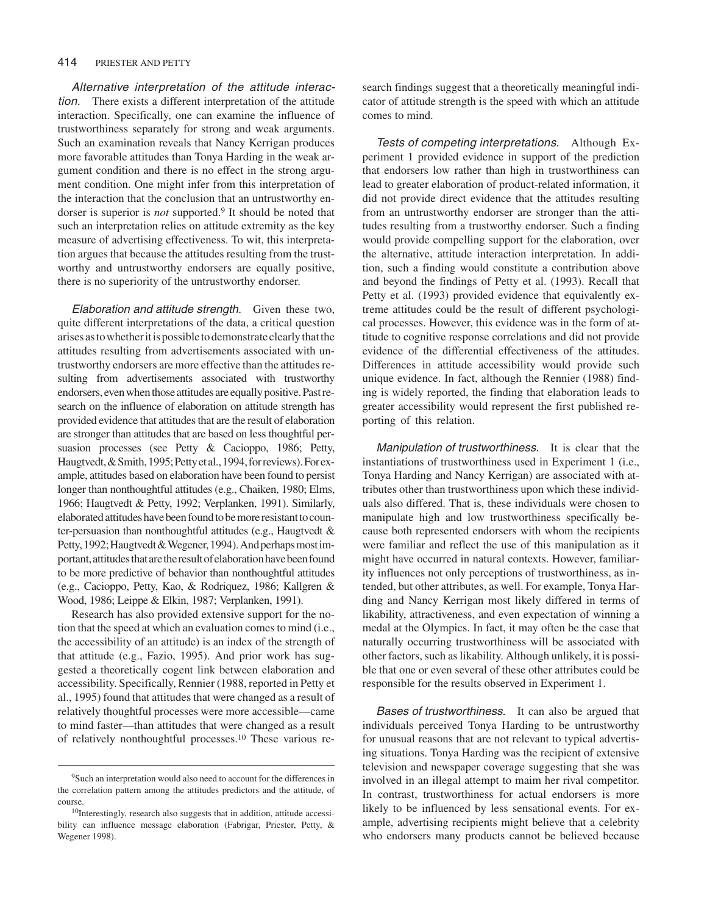### 414 PRIESTER AND PETTY

Alternative interpretation of the attitude interaction. There exists a different interpretation of the attitude interaction. Specifically, one can examine the influence of trustworthiness separately for strong and weak arguments. Such an examination reveals that Nancy Kerrigan produces more favorable attitudes than Tonya Harding in the weak argument condition and there is no effect in the strong argument condition. One might infer from this interpretation of the interaction that the conclusion that an untrustworthy endorser is superior is *not* supported.9 It should be noted that such an interpretation relies on attitude extremity as the key measure of advertising effectiveness. To wit, this interpretation argues that because the attitudes resulting from the trustworthy and untrustworthy endorsers are equally positive, there is no superiority of the untrustworthy endorser.

Elaboration and attitude strength. Given these two, quite different interpretations of the data, a critical question arises as to whether it is possible to demonstrate clearly that the attitudes resulting from advertisements associated with untrustworthy endorsers are more effective than the attitudes resulting from advertisements associated with trustworthy endorsers, even when those attitudes are equally positive. Past research on the influence of elaboration on attitude strength has provided evidence that attitudes that are the result of elaboration are stronger than attitudes that are based on less thoughtful persuasion processes (see Petty & Cacioppo, 1986; Petty, Haugtvedt, & Smith, 1995; Petty et al., 1994, for reviews). For example, attitudes based on elaboration have been found to persist longer than nonthoughtful attitudes (e.g., Chaiken, 1980; Elms, 1966; Haugtvedt & Petty, 1992; Verplanken, 1991). Similarly, elaborated attitudes have been found to be more resistant to counter-persuasion than nonthoughtful attitudes (e.g., Haugtvedt & Petty, 1992; Haugtvedt & Wegener, 1994). And perhaps most important, attitudes that are the result of elaboration have been found to be more predictive of behavior than nonthoughtful attitudes (e.g., Cacioppo, Petty, Kao, & Rodriquez, 1986; Kallgren & Wood, 1986; Leippe & Elkin, 1987; Verplanken, 1991).

Research has also provided extensive support for the notion that the speed at which an evaluation comes to mind (i.e., the accessibility of an attitude) is an index of the strength of that attitude (e.g., Fazio, 1995). And prior work has suggested a theoretically cogent link between elaboration and accessibility. Specifically, Rennier (1988, reported in Petty et al., 1995) found that attitudes that were changed as a result of relatively thoughtful processes were more accessible—came to mind faster—than attitudes that were changed as a result of relatively nonthoughtful processes.10 These various research findings suggest that a theoretically meaningful indicator of attitude strength is the speed with which an attitude comes to mind.

Tests of competing interpretations. Although Experiment 1 provided evidence in support of the prediction that endorsers low rather than high in trustworthiness can lead to greater elaboration of product-related information, it did not provide direct evidence that the attitudes resulting from an untrustworthy endorser are stronger than the attitudes resulting from a trustworthy endorser. Such a finding would provide compelling support for the elaboration, over the alternative, attitude interaction interpretation. In addition, such a finding would constitute a contribution above and beyond the findings of Petty et al. (1993). Recall that Petty et al. (1993) provided evidence that equivalently extreme attitudes could be the result of different psychological processes. However, this evidence was in the form of attitude to cognitive response correlations and did not provide evidence of the differential effectiveness of the attitudes. Differences in attitude accessibility would provide such unique evidence. In fact, although the Rennier (1988) finding is widely reported, the finding that elaboration leads to greater accessibility would represent the first published reporting of this relation.

Manipulation of trustworthiness. It is clear that the instantiations of trustworthiness used in Experiment 1 (i.e., Tonya Harding and Nancy Kerrigan) are associated with attributes other than trustworthiness upon which these individuals also differed. That is, these individuals were chosen to manipulate high and low trustworthiness specifically because both represented endorsers with whom the recipients were familiar and reflect the use of this manipulation as it might have occurred in natural contexts. However, familiarity influences not only perceptions of trustworthiness, as intended, but other attributes, as well. For example, Tonya Harding and Nancy Kerrigan most likely differed in terms of likability, attractiveness, and even expectation of winning a medal at the Olympics. In fact, it may often be the case that naturally occurring trustworthiness will be associated with other factors, such as likability. Although unlikely, it is possible that one or even several of these other attributes could be responsible for the results observed in Experiment 1.

Bases of trustworthiness. It can also be argued that individuals perceived Tonya Harding to be untrustworthy for unusual reasons that are not relevant to typical advertising situations. Tonya Harding was the recipient of extensive television and newspaper coverage suggesting that she was involved in an illegal attempt to maim her rival competitor. In contrast, trustworthiness for actual endorsers is more likely to be influenced by less sensational events. For example, advertising recipients might believe that a celebrity who endorsers many products cannot be believed because

<sup>9</sup>Such an interpretation would also need to account for the differences in the correlation pattern among the attitudes predictors and the attitude, of course.

<sup>&</sup>lt;sup>10</sup>Interestingly, research also suggests that in addition, attitude accessibility can influence message elaboration (Fabrigar, Priester, Petty, & Wegener 1998).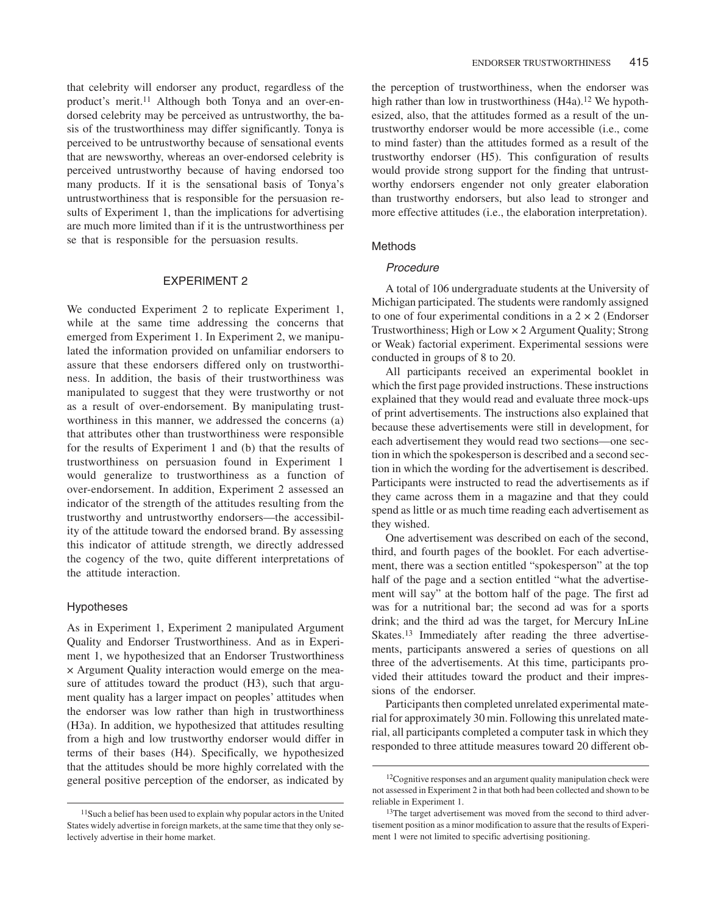that celebrity will endorser any product, regardless of the product's merit.11 Although both Tonya and an over-endorsed celebrity may be perceived as untrustworthy, the basis of the trustworthiness may differ significantly. Tonya is perceived to be untrustworthy because of sensational events that are newsworthy, whereas an over-endorsed celebrity is perceived untrustworthy because of having endorsed too many products. If it is the sensational basis of Tonya's untrustworthiness that is responsible for the persuasion results of Experiment 1, than the implications for advertising are much more limited than if it is the untrustworthiness per se that is responsible for the persuasion results.

# EXPERIMENT 2

We conducted Experiment 2 to replicate Experiment 1, while at the same time addressing the concerns that emerged from Experiment 1. In Experiment 2, we manipulated the information provided on unfamiliar endorsers to assure that these endorsers differed only on trustworthiness. In addition, the basis of their trustworthiness was manipulated to suggest that they were trustworthy or not as a result of over-endorsement. By manipulating trustworthiness in this manner, we addressed the concerns (a) that attributes other than trustworthiness were responsible for the results of Experiment 1 and (b) that the results of trustworthiness on persuasion found in Experiment 1 would generalize to trustworthiness as a function of over-endorsement. In addition, Experiment 2 assessed an indicator of the strength of the attitudes resulting from the trustworthy and untrustworthy endorsers—the accessibility of the attitude toward the endorsed brand. By assessing this indicator of attitude strength, we directly addressed the cogency of the two, quite different interpretations of the attitude interaction.

## Hypotheses

As in Experiment 1, Experiment 2 manipulated Argument Quality and Endorser Trustworthiness. And as in Experiment 1, we hypothesized that an Endorser Trustworthiness × Argument Quality interaction would emerge on the measure of attitudes toward the product (H3), such that argument quality has a larger impact on peoples' attitudes when the endorser was low rather than high in trustworthiness (H3a). In addition, we hypothesized that attitudes resulting from a high and low trustworthy endorser would differ in terms of their bases (H4). Specifically, we hypothesized that the attitudes should be more highly correlated with the general positive perception of the endorser, as indicated by

the perception of trustworthiness, when the endorser was high rather than low in trustworthiness (H4a).<sup>12</sup> We hypothesized, also, that the attitudes formed as a result of the untrustworthy endorser would be more accessible (i.e., come to mind faster) than the attitudes formed as a result of the trustworthy endorser (H5). This configuration of results would provide strong support for the finding that untrustworthy endorsers engender not only greater elaboration than trustworthy endorsers, but also lead to stronger and more effective attitudes (i.e., the elaboration interpretation).

## **Methods**

## Procedure

A total of 106 undergraduate students at the University of Michigan participated. The students were randomly assigned to one of four experimental conditions in a  $2 \times 2$  (Endorser Trustworthiness; High or Low × 2 Argument Quality; Strong or Weak) factorial experiment. Experimental sessions were conducted in groups of 8 to 20.

All participants received an experimental booklet in which the first page provided instructions. These instructions explained that they would read and evaluate three mock-ups of print advertisements. The instructions also explained that because these advertisements were still in development, for each advertisement they would read two sections—one section in which the spokesperson is described and a second section in which the wording for the advertisement is described. Participants were instructed to read the advertisements as if they came across them in a magazine and that they could spend as little or as much time reading each advertisement as they wished.

One advertisement was described on each of the second, third, and fourth pages of the booklet. For each advertisement, there was a section entitled "spokesperson" at the top half of the page and a section entitled "what the advertisement will say" at the bottom half of the page. The first ad was for a nutritional bar; the second ad was for a sports drink; and the third ad was the target, for Mercury InLine Skates.<sup>13</sup> Immediately after reading the three advertisements, participants answered a series of questions on all three of the advertisements. At this time, participants provided their attitudes toward the product and their impressions of the endorser.

Participants then completed unrelated experimental material for approximately 30 min. Following this unrelated material, all participants completed a computer task in which they responded to three attitude measures toward 20 different ob-

<sup>11</sup>Such a belief has been used to explain why popular actors in the United States widely advertise in foreign markets, at the same time that they only selectively advertise in their home market.

<sup>&</sup>lt;sup>12</sup>Cognitive responses and an argument quality manipulation check were not assessed in Experiment 2 in that both had been collected and shown to be reliable in Experiment 1.

<sup>&</sup>lt;sup>13</sup>The target advertisement was moved from the second to third advertisement position as a minor modification to assure that the results of Experiment 1 were not limited to specific advertising positioning.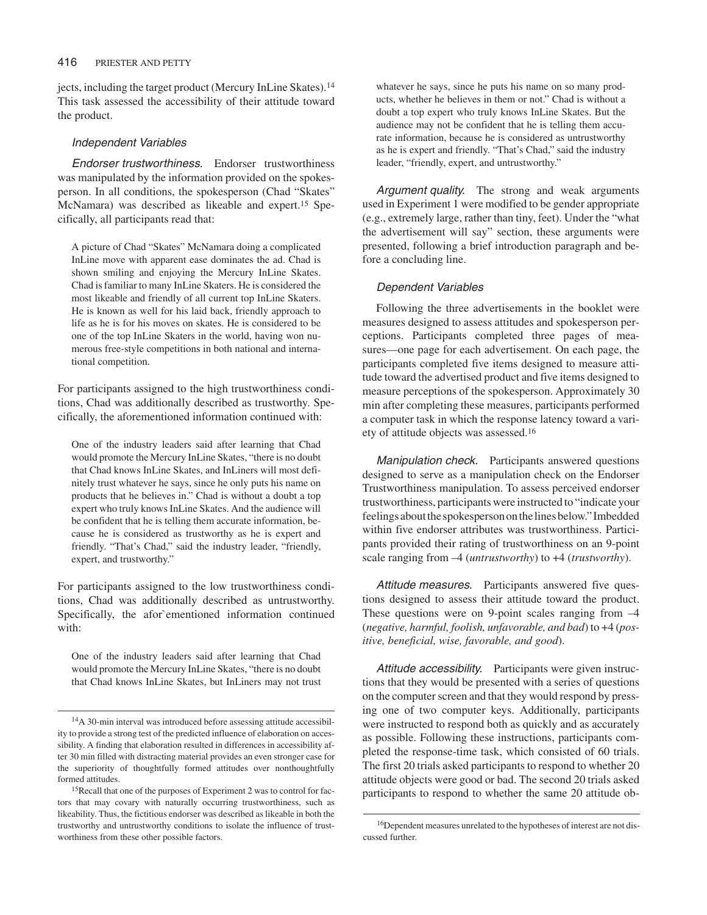jects, including the target product (Mercury InLine Skates).<sup>14</sup> This task assessed the accessibility of their attitude toward the product.

## Independent Variables

Endorser trustworthiness. Endorser trustworthiness was manipulated by the information provided on the spokesperson. In all conditions, the spokesperson (Chad "Skates" McNamara) was described as likeable and expert.15 Specifically, all participants read that:

A picture of Chad "Skates" McNamara doing a complicated InLine move with apparent ease dominates the ad. Chad is shown smiling and enjoying the Mercury InLine Skates. Chad is familiar to many InLine Skaters. He is considered the most likeable and friendly of all current top InLine Skaters. He is known as well for his laid back, friendly approach to life as he is for his moves on skates. He is considered to be one of the top InLine Skaters in the world, having won numerous free-style competitions in both national and international competition.

For participants assigned to the high trustworthiness conditions, Chad was additionally described as trustworthy. Specifically, the aforementioned information continued with:

One of the industry leaders said after learning that Chad would promote the Mercury InLine Skates, "there is no doubt that Chad knows InLine Skates, and InLiners will most definitely trust whatever he says, since he only puts his name on products that he believes in." Chad is without a doubt a top expert who truly knows InLine Skates. And the audience will be confident that he is telling them accurate information, because he is considered as trustworthy as he is expert and friendly. "That's Chad," said the industry leader, "friendly, expert, and trustworthy."

For participants assigned to the low trustworthiness conditions, Chad was additionally described as untrustworthy. Specifically, the afor`ementioned information continued with:

One of the industry leaders said after learning that Chad would promote the Mercury InLine Skates, "there is no doubt that Chad knows InLine Skates, but InLiners may not trust

whatever he says, since he puts his name on so many products, whether he believes in them or not." Chad is without a doubt a top expert who truly knows InLine Skates. But the audience may not be confident that he is telling them accurate information, because he is considered as untrustworthy as he is expert and friendly. "That's Chad," said the industry leader, "friendly, expert, and untrustworthy."

Argument quality. The strong and weak arguments used in Experiment 1 were modified to be gender appropriate (e.g., extremely large, rather than tiny, feet). Under the "what the advertisement will say" section, these arguments were presented, following a brief introduction paragraph and before a concluding line.

# Dependent Variables

Following the three advertisements in the booklet were measures designed to assess attitudes and spokesperson perceptions. Participants completed three pages of measures—one page for each advertisement. On each page, the participants completed five items designed to measure attitude toward the advertised product and five items designed to measure perceptions of the spokesperson. Approximately 30 min after completing these measures, participants performed a computer task in which the response latency toward a variety of attitude objects was assessed.16

Manipulation check. Participants answered questions designed to serve as a manipulation check on the Endorser Trustworthiness manipulation. To assess perceived endorser trustworthiness, participants were instructed to "indicate your feelings about the spokesperson on the lines below." Imbedded within five endorser attributes was trustworthiness. Participants provided their rating of trustworthiness on an 9-point scale ranging from –4 (*untrustworthy*) to +4 (*trustworthy*).

Attitude measures. Participants answered five questions designed to assess their attitude toward the product. These questions were on 9-point scales ranging from –4 (*negative, harmful, foolish, unfavorable, and bad*) to +4 (*positive, beneficial, wise, favorable, and good*).

Attitude accessibility. Participants were given instructions that they would be presented with a series of questions on the computer screen and that they would respond by pressing one of two computer keys. Additionally, participants were instructed to respond both as quickly and as accurately as possible. Following these instructions, participants completed the response-time task, which consisted of 60 trials. The first 20 trials asked participants to respond to whether 20 attitude objects were good or bad. The second 20 trials asked participants to respond to whether the same 20 attitude ob-

<sup>14</sup>A 30-min interval was introduced before assessing attitude accessibility to provide a strong test of the predicted influence of elaboration on accessibility. A finding that elaboration resulted in differences in accessibility after 30 min filled with distracting material provides an even stronger case for the superiority of thoughtfully formed attitudes over nonthoughtfully formed attitudes.

<sup>15</sup>Recall that one of the purposes of Experiment 2 was to control for factors that may covary with naturally occurring trustworthiness, such as likeability. Thus, the fictitious endorser was described as likeable in both the trustworthy and untrustworthy conditions to isolate the influence of trustworthiness from these other possible factors.

<sup>16</sup>Dependent measures unrelated to the hypotheses of interest are not discussed further.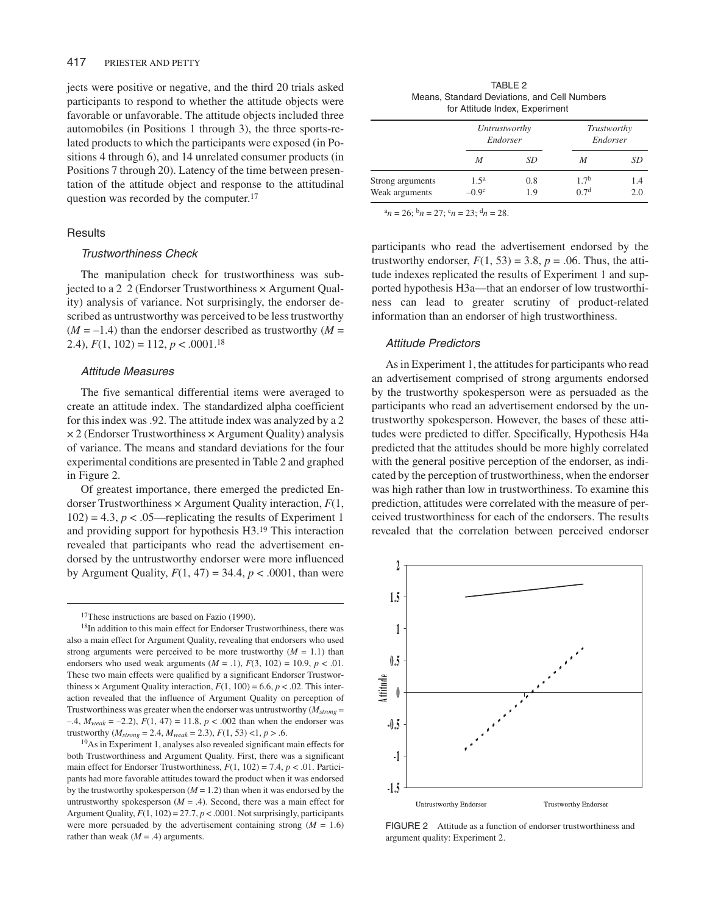jects were positive or negative, and the third 20 trials asked participants to respond to whether the attitude objects were favorable or unfavorable. The attitude objects included three automobiles (in Positions 1 through 3), the three sports-related products to which the participants were exposed (in Positions 4 through 6), and 14 unrelated consumer products (in Positions 7 through 20). Latency of the time between presentation of the attitude object and response to the attitudinal question was recorded by the computer.17

### **Results**

## Trustworthiness Check

The manipulation check for trustworthiness was subjected to a 2 2 (Endorser Trustworthiness × Argument Quality) analysis of variance. Not surprisingly, the endorser described as untrustworthy was perceived to be less trustworthy  $(M = -1.4)$  than the endorser described as trustworthy  $(M =$ 2.4),  $F(1, 102) = 112$ ,  $p < .0001$ .<sup>18</sup>

#### Attitude Measures

The five semantical differential items were averaged to create an attitude index. The standardized alpha coefficient for this index was .92. The attitude index was analyzed by a 2  $\times$  2 (Endorser Trustworthiness  $\times$  Argument Quality) analysis of variance. The means and standard deviations for the four experimental conditions are presented in Table 2 and graphed in Figure 2.

Of greatest importance, there emerged the predicted Endorser Trustworthiness × Argument Quality interaction, *F*(1,  $102$ ) = 4.3,  $p < .05$ —replicating the results of Experiment 1 and providing support for hypothesis H3.19 This interaction revealed that participants who read the advertisement endorsed by the untrustworthy endorser were more influenced by Argument Quality,  $F(1, 47) = 34.4$ ,  $p < .0001$ , than were

19As in Experiment 1, analyses also revealed significant main effects for both Trustworthiness and Argument Quality. First, there was a significant main effect for Endorser Trustworthiness,  $F(1, 102) = 7.4$ ,  $p < .01$ . Participants had more favorable attitudes toward the product when it was endorsed by the trustworthy spokesperson  $(M = 1.2)$  than when it was endorsed by the untrustworthy spokesperson  $(M = .4)$ . Second, there was a main effect for Argument Quality, *F*(1, 102) = 27.7, *p* < .0001. Not surprisingly, participants were more persuaded by the advertisement containing strong  $(M = 1.6)$ rather than weak  $(M = .4)$  arguments.

TABLE 2 Means, Standard Deviations, and Cell Numbers for Attitude Index, Experiment

|                  | Untrustworthy<br>Endorser |     | Trustworthy<br>Endorser |     |
|------------------|---------------------------|-----|-------------------------|-----|
|                  | M                         | SD  | M                       | SD  |
| Strong arguments | $1.5^{\rm a}$             | 0.8 | 1.7 <sup>b</sup>        | 1.4 |
| Weak arguments   | $-0.9c$                   | 19  | 0.7 <sup>d</sup>        | 2.0 |

 $a_n = 26$ ;  $b_n = 27$ ;  $c_n = 23$ ;  $d_n = 28$ .

participants who read the advertisement endorsed by the trustworthy endorser,  $F(1, 53) = 3.8$ ,  $p = .06$ . Thus, the attitude indexes replicated the results of Experiment 1 and supported hypothesis H3a—that an endorser of low trustworthiness can lead to greater scrutiny of product-related information than an endorser of high trustworthiness.

# Attitude Predictors

As in Experiment 1, the attitudes for participants who read an advertisement comprised of strong arguments endorsed by the trustworthy spokesperson were as persuaded as the participants who read an advertisement endorsed by the untrustworthy spokesperson. However, the bases of these attitudes were predicted to differ. Specifically, Hypothesis H4a predicted that the attitudes should be more highly correlated with the general positive perception of the endorser, as indicated by the perception of trustworthiness, when the endorser was high rather than low in trustworthiness. To examine this prediction, attitudes were correlated with the measure of perceived trustworthiness for each of the endorsers. The results revealed that the correlation between perceived endorser



FIGURE 2 Attitude as a function of endorser trustworthiness and argument quality: Experiment 2.

<sup>&</sup>lt;sup>17</sup>These instructions are based on Fazio (1990).

<sup>18</sup>In addition to this main effect for Endorser Trustworthiness, there was also a main effect for Argument Quality, revealing that endorsers who used strong arguments were perceived to be more trustworthy  $(M = 1.1)$  than endorsers who used weak arguments  $(M = .1)$ ,  $F(3, 102) = 10.9$ ,  $p < .01$ . These two main effects were qualified by a significant Endorser Trustworthiness  $\times$  Argument Quality interaction,  $F(1, 100) = 6.6$ ,  $p < .02$ . This interaction revealed that the influence of Argument Quality on perception of Trustworthiness was greater when the endorser was untrustworthy  $(M_{strong} =$  $-4$ ,  $M_{weak} = -2.2$ ),  $F(1, 47) = 11.8$ ,  $p < .002$  than when the endorser was trustworthy ( $M_{strong} = 2.4$ ,  $M_{weak} = 2.3$ ),  $F(1, 53)$  <1,  $p > .6$ .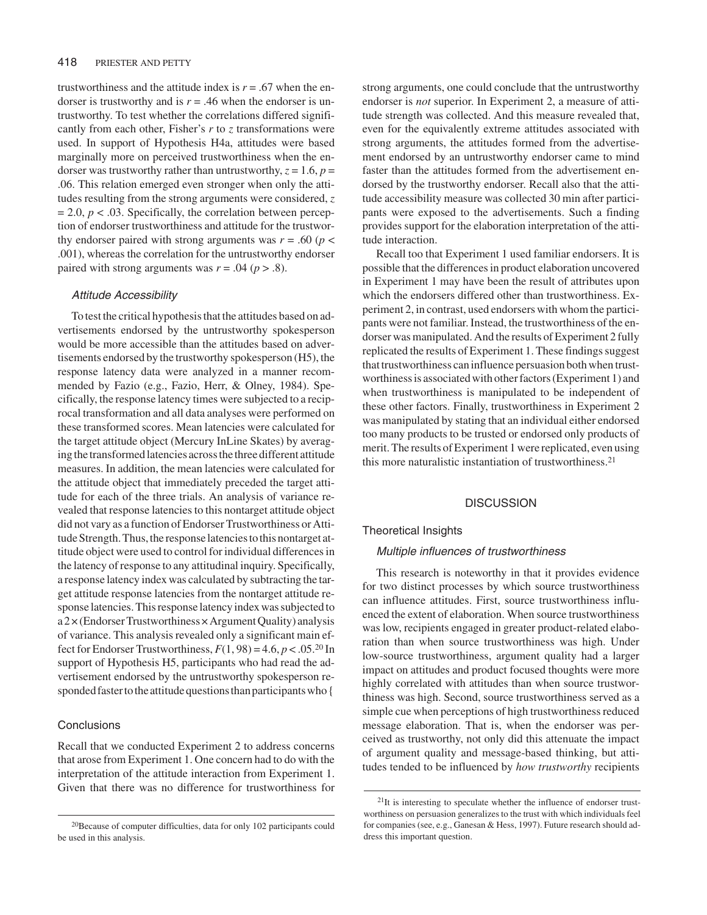trustworthiness and the attitude index is  $r = .67$  when the endorser is trustworthy and is  $r = .46$  when the endorser is untrustworthy. To test whether the correlations differed significantly from each other, Fisher's *r* to *z* transformations were used. In support of Hypothesis H4a, attitudes were based marginally more on perceived trustworthiness when the endorser was trustworthy rather than untrustworthy,  $z = 1.6$ ,  $p =$ .06. This relation emerged even stronger when only the attitudes resulting from the strong arguments were considered, *z*  $= 2.0, p < .03$ . Specifically, the correlation between perception of endorser trustworthiness and attitude for the trustworthy endorser paired with strong arguments was  $r = .60$  ( $p <$ .001), whereas the correlation for the untrustworthy endorser paired with strong arguments was  $r = .04$  ( $p > .8$ ).

#### Attitude Accessibility

To test the critical hypothesis that the attitudes based on advertisements endorsed by the untrustworthy spokesperson would be more accessible than the attitudes based on advertisements endorsed by the trustworthy spokesperson (H5), the response latency data were analyzed in a manner recommended by Fazio (e.g., Fazio, Herr, & Olney, 1984). Specifically, the response latency times were subjected to a reciprocal transformation and all data analyses were performed on these transformed scores. Mean latencies were calculated for the target attitude object (Mercury InLine Skates) by averaging the transformed latencies across the three different attitude measures. In addition, the mean latencies were calculated for the attitude object that immediately preceded the target attitude for each of the three trials. An analysis of variance revealed that response latencies to this nontarget attitude object did not vary as a function of Endorser Trustworthiness or Attitude Strength. Thus, the response latencies to this nontarget attitude object were used to control for individual differences in the latency of response to any attitudinal inquiry. Specifically, a response latency index was calculated by subtracting the target attitude response latencies from the nontarget attitude response latencies. This response latency index was subjected to  $a2\times$ (Endorser Trustworthiness  $\times$  Argument Quality) analysis of variance. This analysis revealed only a significant main effect for Endorser Trustworthiness,  $F(1, 98) = 4.6$ ,  $p < .05$ .<sup>20</sup> In support of Hypothesis H5, participants who had read the advertisement endorsed by the untrustworthy spokesperson responded faster to the attitude questions than participants who {

# **Conclusions**

Recall that we conducted Experiment 2 to address concerns that arose from Experiment 1. One concern had to do with the interpretation of the attitude interaction from Experiment 1. Given that there was no difference for trustworthiness for

strong arguments, one could conclude that the untrustworthy endorser is *not* superior. In Experiment 2, a measure of attitude strength was collected. And this measure revealed that, even for the equivalently extreme attitudes associated with strong arguments, the attitudes formed from the advertisement endorsed by an untrustworthy endorser came to mind faster than the attitudes formed from the advertisement endorsed by the trustworthy endorser. Recall also that the attitude accessibility measure was collected 30 min after participants were exposed to the advertisements. Such a finding provides support for the elaboration interpretation of the attitude interaction.

Recall too that Experiment 1 used familiar endorsers. It is possible that the differences in product elaboration uncovered in Experiment 1 may have been the result of attributes upon which the endorsers differed other than trustworthiness. Experiment 2, in contrast, used endorsers with whom the participants were not familiar. Instead, the trustworthiness of the endorser was manipulated. And the results of Experiment 2 fully replicated the results of Experiment 1. These findings suggest that trustworthiness can influence persuasion both when trustworthiness is associated with other factors (Experiment 1) and when trustworthiness is manipulated to be independent of these other factors. Finally, trustworthiness in Experiment 2 was manipulated by stating that an individual either endorsed too many products to be trusted or endorsed only products of merit. The results of Experiment 1 were replicated, even using this more naturalistic instantiation of trustworthiness.21

## **DISCUSSION**

## Theoretical Insights

# Multiple influences of trustworthiness

This research is noteworthy in that it provides evidence for two distinct processes by which source trustworthiness can influence attitudes. First, source trustworthiness influenced the extent of elaboration. When source trustworthiness was low, recipients engaged in greater product-related elaboration than when source trustworthiness was high. Under low-source trustworthiness, argument quality had a larger impact on attitudes and product focused thoughts were more highly correlated with attitudes than when source trustworthiness was high. Second, source trustworthiness served as a simple cue when perceptions of high trustworthiness reduced message elaboration. That is, when the endorser was perceived as trustworthy, not only did this attenuate the impact of argument quality and message-based thinking, but attitudes tended to be influenced by *how trustworthy* recipients

<sup>20</sup>Because of computer difficulties, data for only 102 participants could be used in this analysis.

 $21$ It is interesting to speculate whether the influence of endorser trustworthiness on persuasion generalizes to the trust with which individuals feel for companies (see, e.g., Ganesan & Hess, 1997). Future research should address this important question.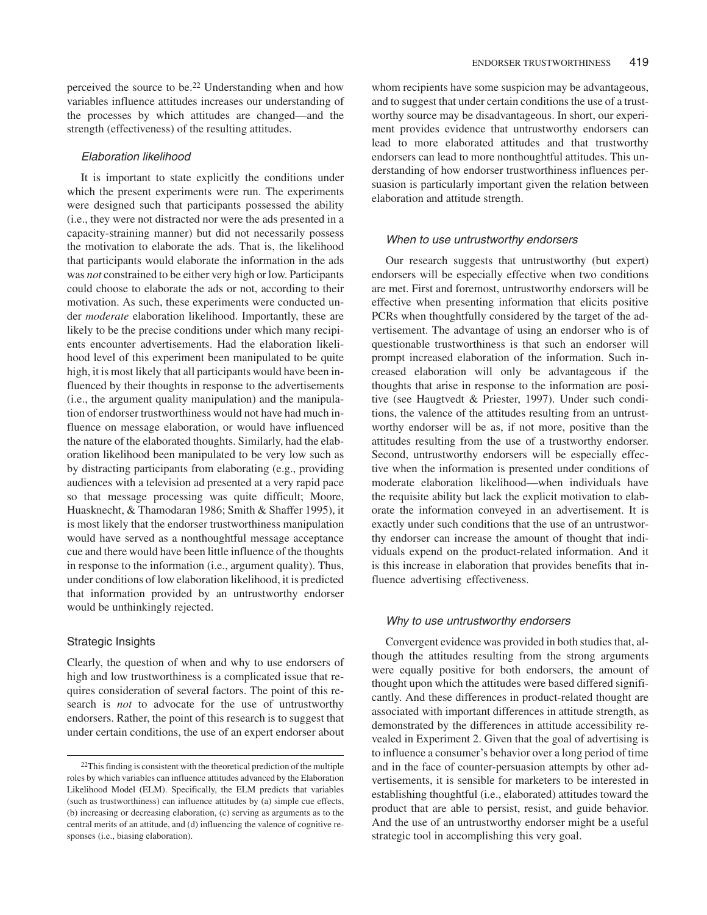perceived the source to be.22 Understanding when and how variables influence attitudes increases our understanding of the processes by which attitudes are changed—and the strength (effectiveness) of the resulting attitudes.

# Elaboration likelihood

It is important to state explicitly the conditions under which the present experiments were run. The experiments were designed such that participants possessed the ability (i.e., they were not distracted nor were the ads presented in a capacity-straining manner) but did not necessarily possess the motivation to elaborate the ads. That is, the likelihood that participants would elaborate the information in the ads was *not* constrained to be either very high or low. Participants could choose to elaborate the ads or not, according to their motivation. As such, these experiments were conducted under *moderate* elaboration likelihood. Importantly, these are likely to be the precise conditions under which many recipients encounter advertisements. Had the elaboration likelihood level of this experiment been manipulated to be quite high, it is most likely that all participants would have been influenced by their thoughts in response to the advertisements (i.e., the argument quality manipulation) and the manipulation of endorser trustworthiness would not have had much influence on message elaboration, or would have influenced the nature of the elaborated thoughts. Similarly, had the elaboration likelihood been manipulated to be very low such as by distracting participants from elaborating (e.g., providing audiences with a television ad presented at a very rapid pace so that message processing was quite difficult; Moore, Huasknecht, & Thamodaran 1986; Smith & Shaffer 1995), it is most likely that the endorser trustworthiness manipulation would have served as a nonthoughtful message acceptance cue and there would have been little influence of the thoughts in response to the information (i.e., argument quality). Thus, under conditions of low elaboration likelihood, it is predicted that information provided by an untrustworthy endorser would be unthinkingly rejected.

## Strategic Insights

Clearly, the question of when and why to use endorsers of high and low trustworthiness is a complicated issue that requires consideration of several factors. The point of this research is *not* to advocate for the use of untrustworthy endorsers. Rather, the point of this research is to suggest that under certain conditions, the use of an expert endorser about

whom recipients have some suspicion may be advantageous, and to suggest that under certain conditions the use of a trustworthy source may be disadvantageous. In short, our experiment provides evidence that untrustworthy endorsers can lead to more elaborated attitudes and that trustworthy endorsers can lead to more nonthoughtful attitudes. This understanding of how endorser trustworthiness influences persuasion is particularly important given the relation between elaboration and attitude strength.

#### When to use untrustworthy endorsers

Our research suggests that untrustworthy (but expert) endorsers will be especially effective when two conditions are met. First and foremost, untrustworthy endorsers will be effective when presenting information that elicits positive PCRs when thoughtfully considered by the target of the advertisement. The advantage of using an endorser who is of questionable trustworthiness is that such an endorser will prompt increased elaboration of the information. Such increased elaboration will only be advantageous if the thoughts that arise in response to the information are positive (see Haugtvedt & Priester, 1997). Under such conditions, the valence of the attitudes resulting from an untrustworthy endorser will be as, if not more, positive than the attitudes resulting from the use of a trustworthy endorser. Second, untrustworthy endorsers will be especially effective when the information is presented under conditions of moderate elaboration likelihood—when individuals have the requisite ability but lack the explicit motivation to elaborate the information conveyed in an advertisement. It is exactly under such conditions that the use of an untrustworthy endorser can increase the amount of thought that individuals expend on the product-related information. And it is this increase in elaboration that provides benefits that influence advertising effectiveness.

#### Why to use untrustworthy endorsers

Convergent evidence was provided in both studies that, although the attitudes resulting from the strong arguments were equally positive for both endorsers, the amount of thought upon which the attitudes were based differed significantly. And these differences in product-related thought are associated with important differences in attitude strength, as demonstrated by the differences in attitude accessibility revealed in Experiment 2. Given that the goal of advertising is to influence a consumer's behavior over a long period of time and in the face of counter-persuasion attempts by other advertisements, it is sensible for marketers to be interested in establishing thoughtful (i.e., elaborated) attitudes toward the product that are able to persist, resist, and guide behavior. And the use of an untrustworthy endorser might be a useful strategic tool in accomplishing this very goal.

 $22$ This finding is consistent with the theoretical prediction of the multiple roles by which variables can influence attitudes advanced by the Elaboration Likelihood Model (ELM). Specifically, the ELM predicts that variables (such as trustworthiness) can influence attitudes by (a) simple cue effects, (b) increasing or decreasing elaboration, (c) serving as arguments as to the central merits of an attitude, and (d) influencing the valence of cognitive responses (i.e., biasing elaboration).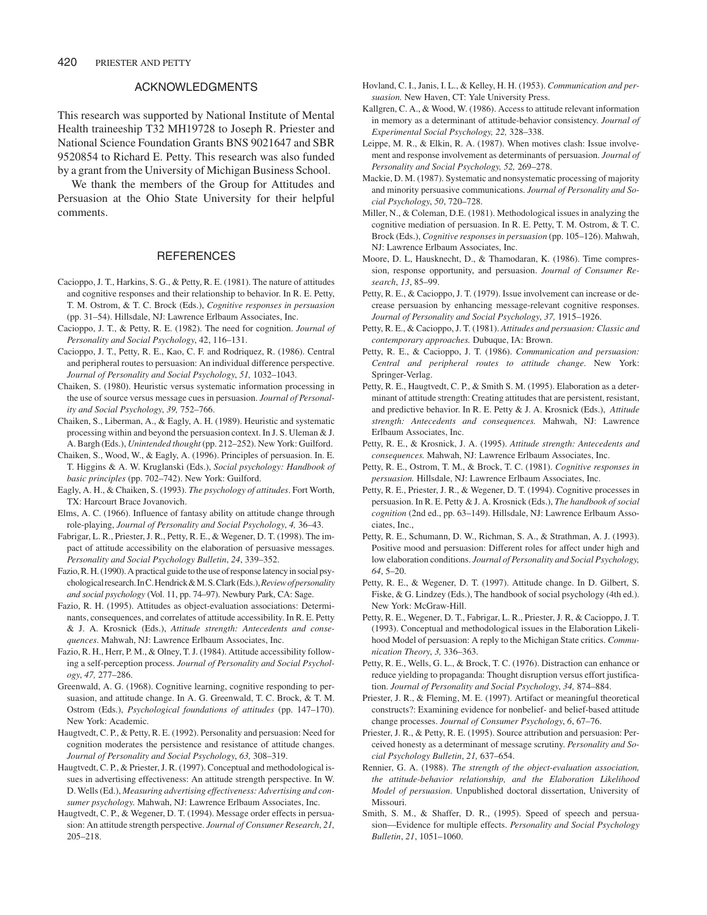## ACKNOWLEDGMENTS

This research was supported by National Institute of Mental Health traineeship T32 MH19728 to Joseph R. Priester and National Science Foundation Grants BNS 9021647 and SBR 9520854 to Richard E. Petty. This research was also funded by a grant from the University of Michigan Business School.

We thank the members of the Group for Attitudes and Persuasion at the Ohio State University for their helpful comments.

## **REFERENCES**

- Cacioppo, J. T., Harkins, S. G., & Petty, R. E. (1981). The nature of attitudes and cognitive responses and their relationship to behavior. In R. E. Petty, T. M. Ostrom, & T. C. Brock (Eds.), *Cognitive responses in persuasion* (pp. 31–54). Hillsdale, NJ: Lawrence Erlbaum Associates, Inc.
- Cacioppo, J. T., & Petty, R. E. (1982). The need for cognition. *Journal of Personality and Social Psychology*, 42, 116–131.
- Cacioppo, J. T., Petty, R. E., Kao, C. F. and Rodriquez, R. (1986). Central and peripheral routes to persuasion: An individual difference perspective. *Journal of Personality and Social Psychology*, *51,* 1032–1043.
- Chaiken, S. (1980). Heuristic versus systematic information processing in the use of source versus message cues in persuasion. *Journal of Personality and Social Psychology*, *39,* 752–766.
- Chaiken, S., Liberman, A., & Eagly, A. H. (1989). Heuristic and systematic processing within and beyond the persuasion context. In J. S. Uleman & J. A. Bargh (Eds.), *Unintended thought* (pp. 212–252). New York: Guilford.
- Chaiken, S., Wood, W., & Eagly, A. (1996). Principles of persuasion. In. E. T. Higgins & A. W. Kruglanski (Eds.), *Social psychology: Handbook of basic principles* (pp. 702–742). New York: Guilford.
- Eagly, A. H., & Chaiken, S. (1993). *The psychology of attitudes*. Fort Worth, TX: Harcourt Brace Jovanovich.
- Elms, A. C. (1966). Influence of fantasy ability on attitude change through role-playing, *Journal of Personality and Social Psychology*, *4,* 36–43.
- Fabrigar, L. R., Priester, J. R., Petty, R. E., & Wegener, D. T. (1998). The impact of attitude accessibility on the elaboration of persuasive messages. *Personality and Social Psychology Bulletin*, *24*, 339–352.
- Fazio, R. H. (1990). A practical guide to the use of response latency in social psychological research. In C. Hendrick & M. S. Clark (Eds.), *Review of personality and social psychology* (Vol. 11, pp. 74–97). Newbury Park, CA: Sage.
- Fazio, R. H. (1995). Attitudes as object-evaluation associations: Determinants, consequences, and correlates of attitude accessibility. In R. E. Petty & J. A. Krosnick (Eds.), *Attitude strength: Antecedents and consequences*. Mahwah, NJ: Lawrence Erlbaum Associates, Inc.
- Fazio, R. H., Herr, P. M., & Olney, T. J. (1984). Attitude accessibility following a self-perception process. *Journal of Personality and Social Psychology*, *47,* 277–286.
- Greenwald, A. G. (1968). Cognitive learning, cognitive responding to persuasion, and attitude change. In A. G. Greenwald, T. C. Brock, & T. M. Ostrom (Eds.), *Psychological foundations of attitudes* (pp. 147–170). New York: Academic.
- Haugtvedt, C. P., & Petty, R. E. (1992). Personality and persuasion: Need for cognition moderates the persistence and resistance of attitude changes. *Journal of Personality and Social Psychology*, *63,* 308–319.
- Haugtvedt, C. P., & Priester, J. R. (1997). Conceptual and methodological issues in advertising effectiveness: An attitude strength perspective. In W. D. Wells (Ed.), *Measuring advertising effectiveness: Advertising and consumer psychology*. Mahwah, NJ: Lawrence Erlbaum Associates, Inc.
- Haugtvedt, C. P., & Wegener, D. T. (1994). Message order effects in persuasion: An attitude strength perspective. *Journal of Consumer Research*, *21,* 205–218.
- Hovland, C. I., Janis, I. L., & Kelley, H. H. (1953). *Communication and persuasion.* New Haven, CT: Yale University Press.
- Kallgren, C. A., & Wood, W. (1986). Access to attitude relevant information in memory as a determinant of attitude-behavior consistency. *Journal of Experimental Social Psychology, 22,* 328–338.
- Leippe, M. R., & Elkin, R. A. (1987). When motives clash: Issue involvement and response involvement as determinants of persuasion. *Journal of Personality and Social Psychology, 52,* 269–278.
- Mackie, D. M. (1987). Systematic and nonsystematic processing of majority and minority persuasive communications. *Journal of Personality and Social Psychology*, *50*, 720–728.
- Miller, N., & Coleman, D.E. (1981). Methodological issues in analyzing the cognitive mediation of persuasion. In R. E. Petty, T. M. Ostrom, & T. C. Brock (Eds.), *Cognitive responses in persuasion* (pp. 105–126). Mahwah, NJ: Lawrence Erlbaum Associates, Inc.
- Moore, D. L, Hausknecht, D., & Thamodaran, K. (1986). Time compression, response opportunity, and persuasion. *Journal of Consumer Research*, *13*, 85–99.
- Petty, R. E., & Cacioppo, J. T. (1979). Issue involvement can increase or decrease persuasion by enhancing message-relevant cognitive responses. *Journal of Personality and Social Psychology*, *37,* 1915–1926.
- Petty, R. E., & Cacioppo, J. T. (1981). *Attitudes and persuasion: Classic and contemporary approaches.* Dubuque, IA: Brown.
- Petty, R. E., & Cacioppo, J. T. (1986). *Communication and persuasion: Central and peripheral routes to attitude change*. New York: Springer-Verlag.
- Petty, R. E., Haugtvedt, C. P., & Smith S. M. (1995). Elaboration as a determinant of attitude strength: Creating attitudes that are persistent, resistant, and predictive behavior. In R. E. Petty & J. A. Krosnick (Eds.), *Attitude strength: Antecedents and consequences.* Mahwah, NJ: Lawrence Erlbaum Associates, Inc.
- Petty, R. E., & Krosnick, J. A. (1995). *Attitude strength: Antecedents and consequences.* Mahwah, NJ: Lawrence Erlbaum Associates, Inc.
- Petty, R. E., Ostrom, T. M., & Brock, T. C. (1981). *Cognitive responses in persuasion.* Hillsdale, NJ: Lawrence Erlbaum Associates, Inc.
- Petty, R. E., Priester, J. R., & Wegener, D. T. (1994). Cognitive processes in persuasion. In R. E. Petty & J. A. Krosnick (Eds.), *The handbook of social cognition* (2nd ed., pp. 63–149). Hillsdale, NJ: Lawrence Erlbaum Associates, Inc.,
- Petty, R. E., Schumann, D. W., Richman, S. A., & Strathman, A. J. (1993). Positive mood and persuasion: Different roles for affect under high and low elaboration conditions. *Journal of Personality and Social Psychology, 64*, 5–20.
- Petty, R. E., & Wegener, D. T. (1997). Attitude change. In D. Gilbert, S. Fiske, & G. Lindzey (Eds.), The handbook of social psychology (4th ed.). New York: McGraw-Hill.
- Petty, R. E., Wegener, D. T., Fabrigar, L. R., Priester, J. R, & Cacioppo, J. T. (1993). Conceptual and methodological issues in the Elaboration Likelihood Model of persuasion: A reply to the Michigan State critics. *Communication Theory*, *3,* 336–363.
- Petty, R. E., Wells, G. L., & Brock, T. C. (1976). Distraction can enhance or reduce yielding to propaganda: Thought disruption versus effort justification. *Journal of Personality and Social Psychology*, *34,* 874–884.
- Priester, J. R., & Fleming, M. E. (1997). Artifact or meaningful theoretical constructs?: Examining evidence for nonbelief- and belief-based attitude change processes. *Journal of Consumer Psychology*, *6*, 67–76.
- Priester, J. R., & Petty, R. E. (1995). Source attribution and persuasion: Perceived honesty as a determinant of message scrutiny. *Personality and Social Psychology Bulletin*, *21,* 637–654.
- Rennier, G. A. (1988). *The strength of the object-evaluation association, the attitude-behavior relationship, and the Elaboration Likelihood Model of persuasion*. Unpublished doctoral dissertation, University of Missouri.
- Smith, S. M., & Shaffer, D. R., (1995). Speed of speech and persuasion—Evidence for multiple effects. *Personality and Social Psychology Bulletin*, *21*, 1051–1060.